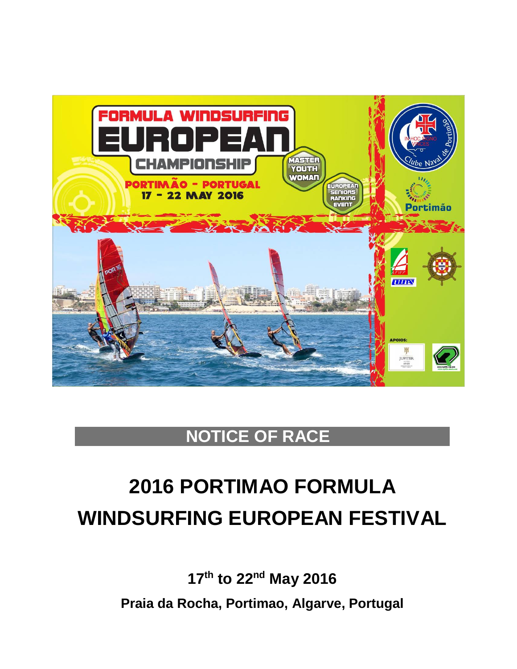

# **NOTICE OF RACE**

# **2016 PORTIMAO FORMULA WINDSURFING EUROPEAN FESTIVAL**

**17th to 22nd May 2016 Praia da Rocha, Portimao, Algarve, Portugal**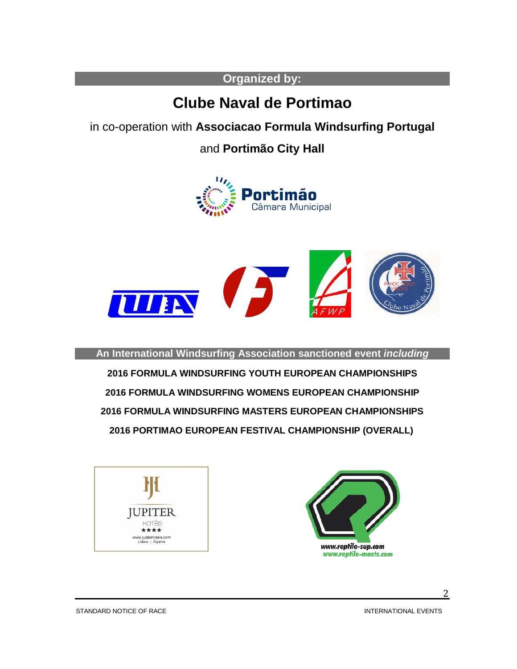## **Organized by:**

# **Clube Naval de Portimao**

in co-operation with **Associacao Formula Windsurfing Portugal**

and **Portimão City Hall**





**An International Windsurfing Association sanctioned event** *including*

 **FORMULA WINDSURFING YOUTH EUROPEAN CHAMPIONSHIPS FORMULA WINDSURFING WOMENS EUROPEAN CHAMPIONSHIP FORMULA WINDSURFING MASTERS EUROPEAN CHAMPIONSHIPS 2016 PORTIMAO EUROPEAN FESTIVAL CHAMPIONSHIP (OVERALL)**





STANDARD NOTICE OF RACE INTERNATIONAL EVENTS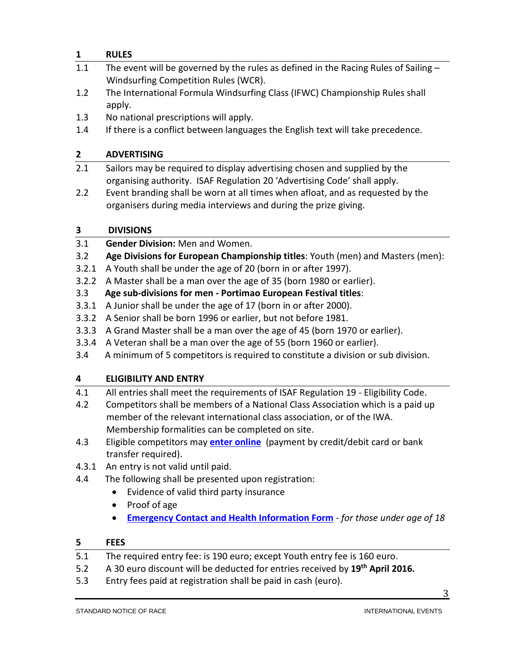#### **1 RULES**

- 1.1 The event will be governed by the rules as defined in the Racing Rules of Sailing -Windsurfing Competition Rules (WCR).
- 1.2 The International Formula Windsurfing Class (IFWC) Championship Rules shall apply.
- 1.3 No national prescriptions will apply.
- 1.4 If there is a conflict between languages the English text will take precedence.

#### **2 ADVERTISING**

- 2.1 Sailors may be required to display advertising chosen and supplied by the organising authority. ISAF Regulation 20 'Advertising Code' shall apply.
- 2.2 Event branding shall be worn at all times when afloat, and as requested by the organisers during media interviews and during the prize giving.

#### **3 DIVISIONS**

- 3.1 **Gender Division:** Men and Women.
- 3.2 **Age Divisions for European Championship titles**: Youth (men) and Masters (men):
- 3.2.1 A Youth shall be under the age of 20 (born in or after 1997).
- 3.2.2 A Master shall be a man over the age of 35 (born 1980 or earlier).
- 3.3 **Age sub-divisions for men - Portimao European Festival titles**:
- 3.3.1 A Junior shall be under the age of 17 (born in or after 2000).
- 3.3.2 A Senior shall be born 1996 or earlier, but not before 1981.
- 3.3.3 A Grand Master shall be a man over the age of 45 (born 1970 or earlier).
- 3.3.4 A Veteran shall be a man over the age of 55 (born 1960 or earlier).
- 3.4 A minimum of 5 competitors is required to constitute a division or sub division.

### **4 ELIGIBILITY AND ENTRY**

- 4.1 All entries shall meet the requirements of ISAF Regulation 19 Eligibility Code.
- 4.2 Competitors shall be members of a National Class Association which is a paid up member of the relevant international class association, or of the IWA. Membership formalities can be completed on site.
- 4.3 Eligible competitors may **enter [online](http://registration.internationalwindsurfing.com/en/events/register/id/36)** (payment by credit/debit card or bank transfer required).
- 4.3.1 An entry is not valid until paid.
- 4.4 The following shall be presented upon registration:
	- Evidence of valid third party insurance
	- Proof of age
	- **[Emergency Contact and Health Information](https://form.jotform.com/60395868756979) Form** *for those under age of 18*

### **5 FEES**

- 5.1 The required entry fee: is 190 euro; except Youth entry fee is 160 euro.
- 5.2 A 30 euro discount will be deducted for entries received by **19th April 2016.**
- 5.3 Entry fees paid at registration shall be paid in cash (euro).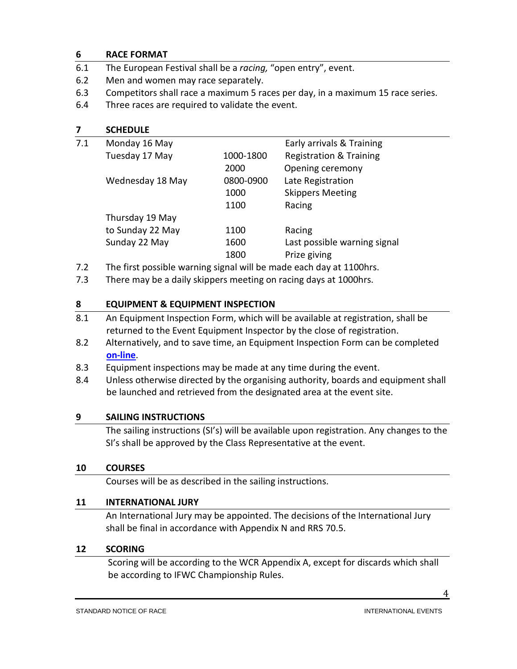#### **6 RACE FORMAT**

- 6.1 The European Festival shall be a *racing,* "open entry", event.
- 6.2 Men and women may race separately.
- 6.3 Competitors shall race a maximum 5 races per day, in a maximum 15 race series.
- 6.4 Three races are required to validate the event.

# **7 SCHEDULE**

| 7.1 | Monday 16 May    |           | Early arrivals & Training          |
|-----|------------------|-----------|------------------------------------|
|     | Tuesday 17 May   | 1000-1800 | <b>Registration &amp; Training</b> |
|     |                  | 2000      | Opening ceremony                   |
|     | Wednesday 18 May | 0800-0900 | Late Registration                  |
|     |                  | 1000      | <b>Skippers Meeting</b>            |
|     |                  | 1100      | Racing                             |
|     | Thursday 19 May  |           |                                    |
|     | to Sunday 22 May | 1100      | Racing                             |
|     | Sunday 22 May    | 1600      | Last possible warning signal       |
|     |                  | 1800      | Prize giving                       |
|     |                  | .         | .                                  |

7.2 The first possible warning signal will be made each day at 1100hrs.

7.3 There may be a daily skippers meeting on racing days at 1000hrs.

#### **8 EQUIPMENT & EQUIPMENT INSPECTION**

- 8.1 An Equipment Inspection Form, which will be available at registration, shall be returned to the Event Equipment Inspector by the close of registration.
- 8.2 Alternatively, and to save time, an Equipment Inspection Form can be completed **[on-line](https://form.jotform.com/60396130644958)**.
- 8.3 Equipment inspections may be made at any time during the event.
- 8.4 Unless otherwise directed by the organising authority, boards and equipment shall be launched and retrieved from the designated area at the event site.

#### **9 SAILING INSTRUCTIONS**

The sailing instructions (SI's) will be available upon registration. Any changes to the SI's shall be approved by the Class Representative at the event.

#### **10 COURSES**

Courses will be as described in the sailing instructions.

#### **11 INTERNATIONAL JURY**

An International Jury may be appointed. The decisions of the International Jury shall be final in accordance with Appendix N and RRS 70.5.

#### **12 SCORING**

 Scoring will be according to the WCR Appendix A, except for discards which shall be according to IFWC Championship Rules.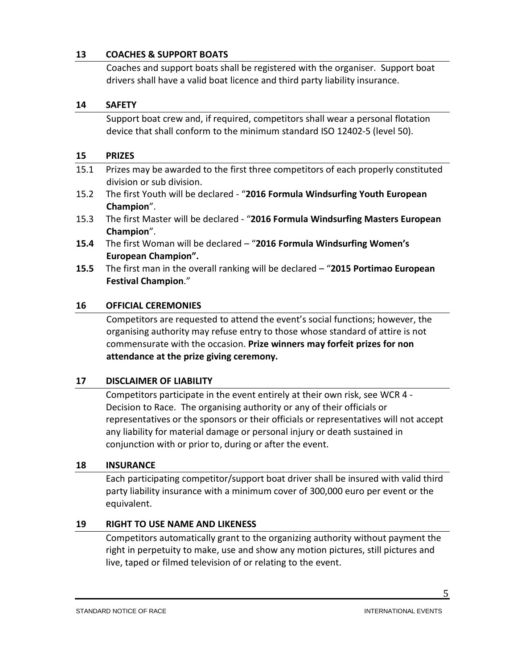#### **13 COACHES & SUPPORT BOATS**

Coaches and support boats shall be registered with the organiser. Support boat drivers shall have a valid boat licence and third party liability insurance.

#### **14 SAFETY**

Support boat crew and, if required, competitors shall wear a personal flotation device that shall conform to the minimum standard ISO 12402-5 (level 50).

#### **15 PRIZES**

- 15.1 Prizes may be awarded to the first three competitors of each properly constituted division or sub division.
- 15.2 The first Youth will be declared "**2016 Formula Windsurfing Youth European Champion**".
- 15.3 The first Master will be declared "**2016 Formula Windsurfing Masters European Champion**".
- **15.4** The first Woman will be declared "**2016 Formula Windsurfing Women's European Champion".**
- **15.5** The first man in the overall ranking will be declared "**2015 Portimao European Festival Champion**."

#### **16 OFFICIAL CEREMONIES**

Competitors are requested to attend the event's social functions; however, the organising authority may refuse entry to those whose standard of attire is not commensurate with the occasion. **Prize winners may forfeit prizes for non attendance at the prize giving ceremony.**

#### **17 DISCLAIMER OF LIABILITY**

Competitors participate in the event entirely at their own risk, see WCR 4 - Decision to Race. The organising authority or any of their officials or representatives or the sponsors or their officials or representatives will not accept any liability for material damage or personal injury or death sustained in conjunction with or prior to, during or after the event.

#### **18 INSURANCE**

Each participating competitor/support boat driver shall be insured with valid third party liability insurance with a minimum cover of 300,000 euro per event or the equivalent.

#### **19 RIGHT TO USE NAME AND LIKENESS**

Competitors automatically grant to the organizing authority without payment the right in perpetuity to make, use and show any motion pictures, still pictures and live, taped or filmed television of or relating to the event.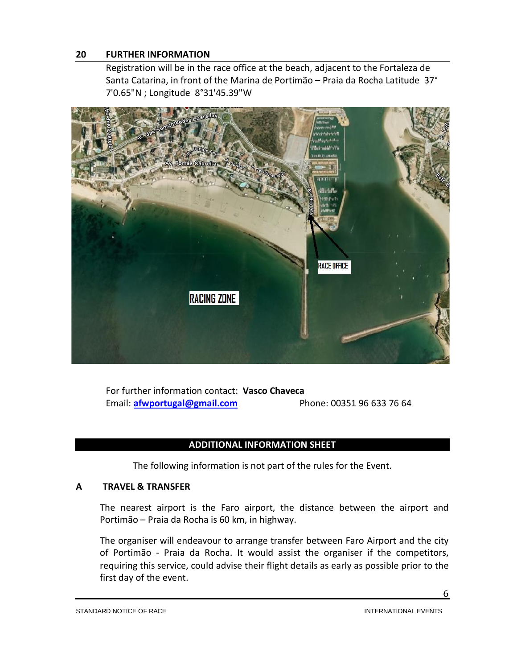#### **20 FURTHER INFORMATION**

Registration will be in the race office at the beach, adjacent to the Fortaleza de Santa Catarina, in front of the Marina de Portimão – Praia da Rocha Latitude 37° 7'0.65"N ; Longitude 8°31'45.39"W



For further information contact: **Vasco Chaveca** Email: **[afwportugal@gmail.com](mailto:afwportugal@gmail.com)** Phone: 00351 96 633 76 64

#### **ADDITIONAL INFORMATION SHEET**

The following information is not part of the rules for the Event.

#### **A TRAVEL & TRANSFER**

The nearest airport is the Faro airport, the distance between the airport and Portimão – Praia da Rocha is 60 km, in highway.

The organiser will endeavour to arrange transfer between Faro Airport and the city of Portimão - Praia da Rocha. It would assist the organiser if the competitors, requiring this service, could advise their flight details as early as possible prior to the first day of the event.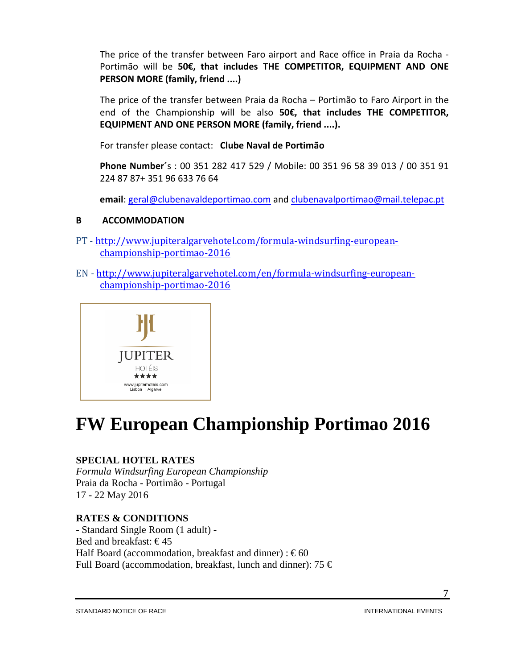The price of the transfer between Faro airport and Race office in Praia da Rocha - Portimão will be **50€, that includes THE COMPETITOR, EQUIPMENT AND ONE PERSON MORE (family, friend ....)**

The price of the transfer between Praia da Rocha – Portimão to Faro Airport in the end of the Championship will be also **50€, that includes THE COMPETITOR, EQUIPMENT AND ONE PERSON MORE (family, friend ....).** 

For transfer please contact: **Clube Naval de Portimão**

**Phone Number´**s : 00 351 282 417 529 / Mobile: 00 351 96 58 39 013 / 00 351 91 224 87 87+ 351 96 633 76 64

**email**: [geral@clubenavaldeportimao.com](mailto:geral@clubenavaldeportimao.com) an[d clubenavalportimao@mail.telepac.pt](mailto:clubenavalportimao@mail.telepac.pt)

#### **B ACCOMMODATION**

- PT [http://www.jupiteralgarvehotel.com/formula-windsurfing-european](http://www.jupiteralgarvehotel.com/formula-windsurfing-european-championship-portimao-2016)[championship-portimao-2016](http://www.jupiteralgarvehotel.com/formula-windsurfing-european-championship-portimao-2016)
- EN [http://www.jupiteralgarvehotel.com/en/formula-windsurfing-european](http://www.jupiteralgarvehotel.com/en/formula-windsurfing-european-championship-portimao-2016)[championship-portimao-2016](http://www.jupiteralgarvehotel.com/en/formula-windsurfing-european-championship-portimao-2016)



# **FW European Championship Portimao 2016**

### **SPECIAL HOTEL RATES**

*Formula Windsurfing European Championship*  Praia da Rocha - Portimão - Portugal 17 - 22 May 2016

### **RATES & CONDITIONS**

- Standard Single Room (1 adult) - Bed and breakfast:  $€45$ Half Board (accommodation, breakfast and dinner) :  $\epsilon$ 60 Full Board (accommodation, breakfast, lunch and dinner): 75  $\epsilon$ 

STANDARD NOTICE OF RACE INTERNATIONAL EVENTS

7